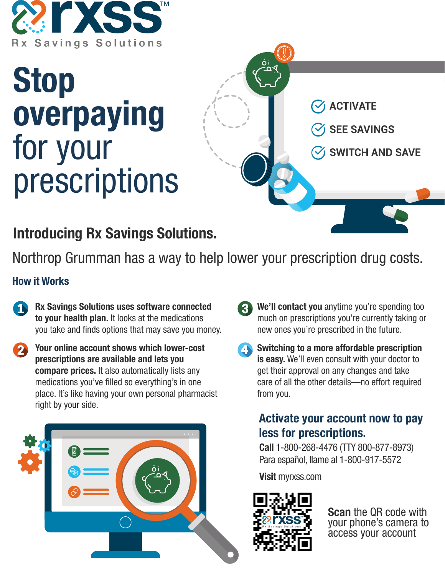

# **Stop overpaying** for your prescriptions

**ACTIVATE**

**SEE SAVINGS**

**SWITCH AND SAVE**

## **Introducing Rx Savings Solutions.**

Northrop Grumman has a way to help lower your prescription drug costs.

#### **How it Works**

**Rx Savings Solutions uses software connected to your health plan.** It looks at the medications you take and finds options that may save you money.

**Your online account shows which lower-cost prescriptions are available and lets you compare prices.** It also automatically lists any medications you've filled so everything's in one place. It's like having your own personal pharmacist right by your side.



**We'll contact you** anytime you're spending too much on prescriptions you're currently taking or new ones you're prescribed in the future.

**Switching to a more affordable prescription is easy.** We'll even consult with your doctor to get their approval on any changes and take care of all the other details—no effort required from you.

### **Activate your account now to pay less for prescriptions.**

**Call** 1-800-268-4476 (TTY 800-877-8973) Para español, llame al 1-800-917-5572

**Visit** myrxss.com



**Scan** the QR code with your phone's camera to access your account